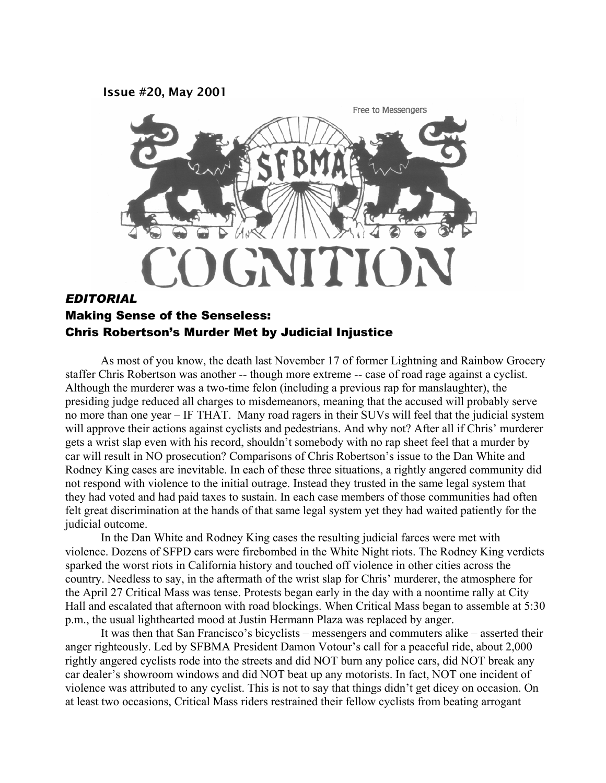**Issue #20, May 2001** 



# *EDITORIAL*  Making Sense of the Senseless: Chris Robertson's Murder Met by Judicial Injustice

As most of you know, the death last November 17 of former Lightning and Rainbow Grocery staffer Chris Robertson was another -- though more extreme -- case of road rage against a cyclist. Although the murderer was a two-time felon (including a previous rap for manslaughter), the presiding judge reduced all charges to misdemeanors, meaning that the accused will probably serve no more than one year – IF THAT. Many road ragers in their SUVs will feel that the judicial system will approve their actions against cyclists and pedestrians. And why not? After all if Chris' murderer gets a wrist slap even with his record, shouldn't somebody with no rap sheet feel that a murder by car will result in NO prosecution? Comparisons of Chris Robertson's issue to the Dan White and Rodney King cases are inevitable. In each of these three situations, a rightly angered community did not respond with violence to the initial outrage. Instead they trusted in the same legal system that they had voted and had paid taxes to sustain. In each case members of those communities had often felt great discrimination at the hands of that same legal system yet they had waited patiently for the judicial outcome.

In the Dan White and Rodney King cases the resulting judicial farces were met with violence. Dozens of SFPD cars were firebombed in the White Night riots. The Rodney King verdicts sparked the worst riots in California history and touched off violence in other cities across the country. Needless to say, in the aftermath of the wrist slap for Chris' murderer, the atmosphere for the April 27 Critical Mass was tense. Protests began early in the day with a noontime rally at City Hall and escalated that afternoon with road blockings. When Critical Mass began to assemble at 5:30 p.m., the usual lighthearted mood at Justin Hermann Plaza was replaced by anger.

It was then that San Francisco's bicyclists – messengers and commuters alike – asserted their anger righteously. Led by SFBMA President Damon Votour's call for a peaceful ride, about 2,000 rightly angered cyclists rode into the streets and did NOT burn any police cars, did NOT break any car dealer's showroom windows and did NOT beat up any motorists. In fact, NOT one incident of violence was attributed to any cyclist. This is not to say that things didn't get dicey on occasion. On at least two occasions, Critical Mass riders restrained their fellow cyclists from beating arrogant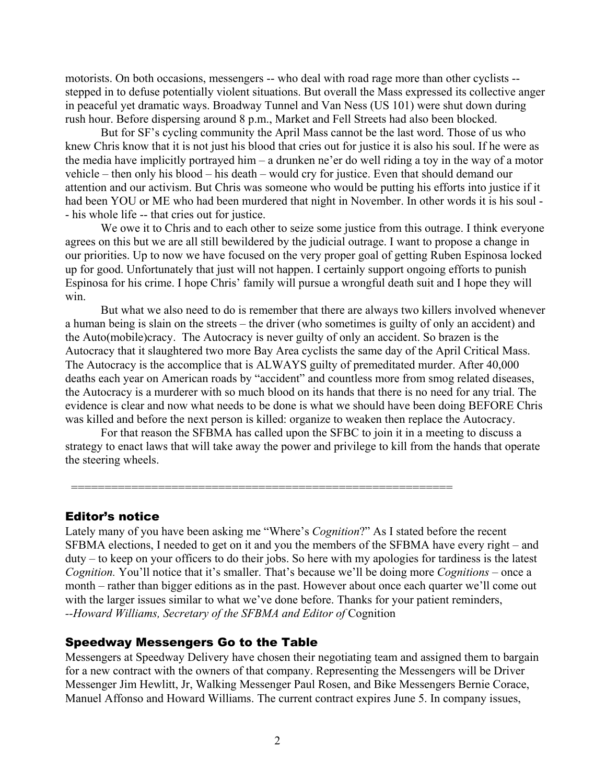motorists. On both occasions, messengers -- who deal with road rage more than other cyclists - stepped in to defuse potentially violent situations. But overall the Mass expressed its collective anger in peaceful yet dramatic ways. Broadway Tunnel and Van Ness (US 101) were shut down during rush hour. Before dispersing around 8 p.m., Market and Fell Streets had also been blocked.

But for SF's cycling community the April Mass cannot be the last word. Those of us who knew Chris know that it is not just his blood that cries out for justice it is also his soul. If he were as the media have implicitly portrayed him – a drunken ne'er do well riding a toy in the way of a motor vehicle – then only his blood – his death – would cry for justice. Even that should demand our attention and our activism. But Chris was someone who would be putting his efforts into justice if it had been YOU or ME who had been murdered that night in November. In other words it is his soul - - his whole life -- that cries out for justice.

We owe it to Chris and to each other to seize some justice from this outrage. I think everyone agrees on this but we are all still bewildered by the judicial outrage. I want to propose a change in our priorities. Up to now we have focused on the very proper goal of getting Ruben Espinosa locked up for good. Unfortunately that just will not happen. I certainly support ongoing efforts to punish Espinosa for his crime. I hope Chris' family will pursue a wrongful death suit and I hope they will win.

But what we also need to do is remember that there are always two killers involved whenever a human being is slain on the streets – the driver (who sometimes is guilty of only an accident) and the Auto(mobile)cracy. The Autocracy is never guilty of only an accident. So brazen is the Autocracy that it slaughtered two more Bay Area cyclists the same day of the April Critical Mass. The Autocracy is the accomplice that is ALWAYS guilty of premeditated murder. After 40,000 deaths each year on American roads by "accident" and countless more from smog related diseases, the Autocracy is a murderer with so much blood on its hands that there is no need for any trial. The evidence is clear and now what needs to be done is what we should have been doing BEFORE Chris was killed and before the next person is killed: organize to weaken then replace the Autocracy.

For that reason the SFBMA has called upon the SFBC to join it in a meeting to discuss a strategy to enact laws that will take away the power and privilege to kill from the hands that operate the steering wheels.

=========================================================

### Editor's notice

Lately many of you have been asking me "Where's *Cognition*?" As I stated before the recent SFBMA elections, I needed to get on it and you the members of the SFBMA have every right – and duty – to keep on your officers to do their jobs. So here with my apologies for tardiness is the latest *Cognition.* You'll notice that it's smaller. That's because we'll be doing more *Cognitions* – once a month – rather than bigger editions as in the past. However about once each quarter we'll come out with the larger issues similar to what we've done before. Thanks for your patient reminders, *--Howard Williams, Secretary of the SFBMA and Editor of* Cognition

### Speedway Messengers Go to the Table

Messengers at Speedway Delivery have chosen their negotiating team and assigned them to bargain for a new contract with the owners of that company. Representing the Messengers will be Driver Messenger Jim Hewlitt, Jr, Walking Messenger Paul Rosen, and Bike Messengers Bernie Corace, Manuel Affonso and Howard Williams. The current contract expires June 5. In company issues,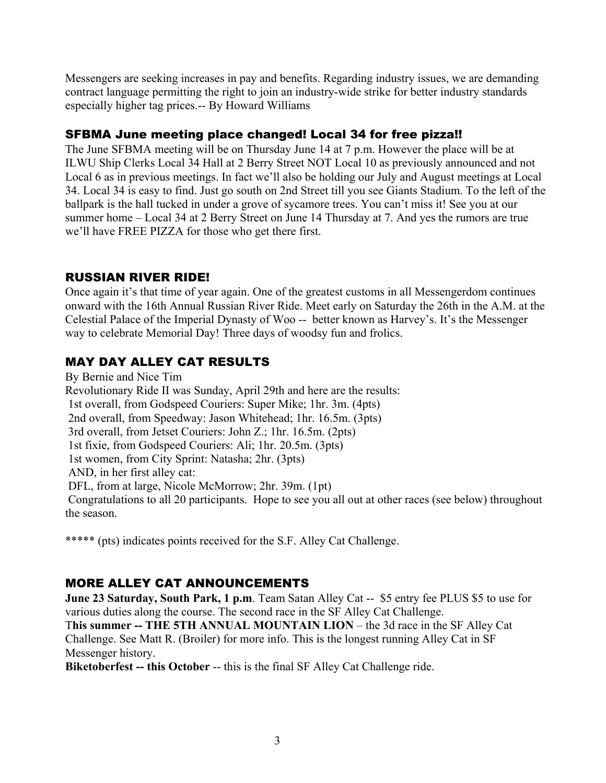Messengers are seeking increases in pay and benefits. Regarding industry issues, we are demanding contract language permitting the right to join an industry-wide strike for better industry standards especially higher tag prices.-- By Howard Williams

# SFBMA June meeting place changed! Local 34 for free pizza!!

The June SFBMA meeting will be on Thursday June 14 at 7 p.m. However the place will be at ILWU Ship Clerks Local 34 Hall at 2 Berry Street NOT Local 10 as previously announced and not Local 6 as in previous meetings. In fact we'll also be holding our July and August meetings at Local 34. Local 34 is easy to find. Just go south on 2nd Street till you see Giants Stadium. To the left of the ballpark is the hall tucked in under a grove of sycamore trees. You can't miss it! See you at our summer home – Local 34 at 2 Berry Street on June 14 Thursday at 7. And yes the rumors are true we'll have FREE PIZZA for those who get there first.

## RUSSIAN RIVER RIDE!

Once again it's that time of year again. One of the greatest customs in all Messengerdom continues onward with the 16th Annual Russian River Ride. Meet early on Saturday the 26th in the A.M. at the Celestial Palace of the Imperial Dynasty of Woo -- better known as Harvey's. It's the Messenger way to celebrate Memorial Day! Three days of woodsy fun and frolics.

# MAY DAY ALLEY CAT RESULTS

By Bernie and Nice Tim Revolutionary Ride II was Sunday, April 29th and here are the results: 1st overall, from Godspeed Couriers: Super Mike; 1hr. 3m. (4pts) 2nd overall, from Speedway: Jason Whitehead; 1hr. 16.5m. (3pts) 3rd overall, from Jetset Couriers: John Z.; 1hr. 16.5m. (2pts) 1st fixie, from Godspeed Couriers: Ali; 1hr. 20.5m. (3pts) 1st women, from City Sprint: Natasha; 2hr. (3pts) AND, in her first alley cat: DFL, from at large, Nicole McMorrow; 2hr. 39m. (1pt) Congratulations to all 20 participants. Hope to see you all out at other races (see below) throughout the season.

\*\*\*\*\* (pts) indicates points received for the S.F. Alley Cat Challenge.

# MORE ALLEY CAT ANNOUNCEMENTS

**June 23 Saturday, South Park, 1 p.m**. Team Satan Alley Cat -- \$5 entry fee PLUS \$5 to use for various duties along the course. The second race in the SF Alley Cat Challenge.

T**his summer -- THE 5TH ANNUAL MOUNTAIN LION** – the 3d race in the SF Alley Cat Challenge. See Matt R. (Broiler) for more info. This is the longest running Alley Cat in SF Messenger history.

**Biketoberfest -- this October** -- this is the final SF Alley Cat Challenge ride.